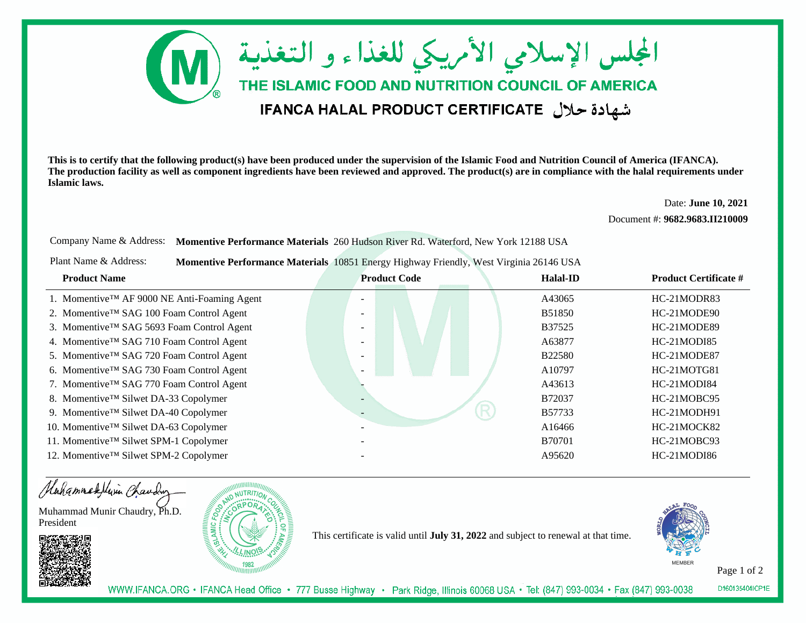

**This is to certify that the following product(s) have been produced under the supervision of the Islamic Food and Nutrition Council of America (IFANCA). The production facility as well as component ingredients have been reviewed and approved. The product(s) are in compliance with the halal requirements underIslamic laws.**

Date: **June 10, 2021**

Document #: **9682.9683.II210009**

Company Name & Address: **Momentive Performance Materials** 260 Hudson River Rd. Waterford, New York 12188 USA

Plant Name & Address:**Momentive Performance Materials** 10851 Energy Highway Friendly, West Virginia 26146 USA

| <b>Product Name</b>                                      | <b>Product Code</b> | <b>Halal-ID</b> | <b>Product Certificate #</b> |
|----------------------------------------------------------|---------------------|-----------------|------------------------------|
| 1. Momentive <sup>TM</sup> AF 9000 NE Anti-Foaming Agent |                     | A43065          | HC-21MODR83                  |
| 2. Momentive™ SAG 100 Foam Control Agent                 |                     | B51850          | HC-21MODE90                  |
| 3. Momentive™ SAG 5693 Foam Control Agent                |                     | B37525          | HC-21MODE89                  |
| 4. Momentive <sup>TM</sup> SAG 710 Foam Control Agent    |                     | A63877          | HC-21MODI85                  |
| 5. Momentive™ SAG 720 Foam Control Agent                 |                     | <b>B22580</b>   | HC-21MODE87                  |
| 6. Momentive™ SAG 730 Foam Control Agent                 |                     | A10797          | HC-21MOTG81                  |
| 7. Momentive™ SAG 770 Foam Control Agent                 |                     | A43613          | HC-21MODI84                  |
| 8. Momentive <sup>TM</sup> Silwet DA-33 Copolymer        | -                   | B72037          | HC-21MOBC95                  |
| 9. Momentive™ Silwet DA-40 Copolymer                     | R                   | B57733          | HC-21MODH91                  |
| 10. Momentive™ Silwet DA-63 Copolymer                    |                     | A16466          | HC-21MOCK82                  |
| 11. Momentive™ Silwet SPM-1 Copolymer                    |                     | <b>B70701</b>   | HC-21MOBC93                  |
| 12. Momentive™ Silwet SPM-2 Copolymer                    |                     | A95620          | HC-21MODI86                  |

Hahammadelivin Chauding

Muhammad Munir Chaudry, Ph.D.President





This certificate is valid until **July 31, 2022** and subject to renewal at that time.



Page 1 of 2